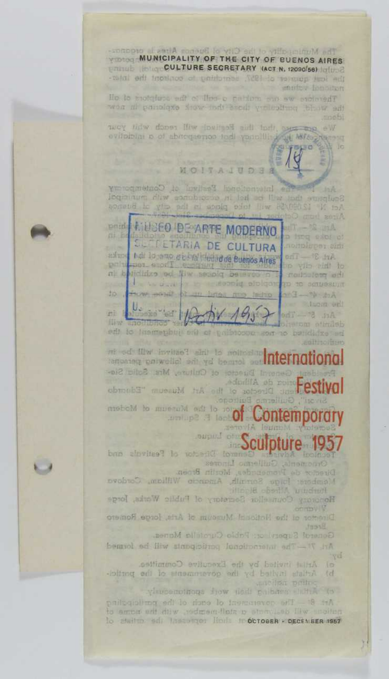The Municipality of the City of Buenos Aires is proport-MUNICIPALITY OF THE CITY OF BUENOS AIRES pringb long CULTURE SECRETARY (ACT N. 12090/56) lolune the least quarer of 1957, searching to contront the interllo to instalaze edi of the a caldom out aw averager We gestate this this Region will reach vill your evilopini a of abitemento todi yanallingoni Miles S TONO MOITAJUDES ol Contemporary **COLLEGE** poid CiUSEO DE ARTE MODERNO **ALLAND E CULTURA** an isng exot o nonplirper sin Art 37-The research and de Buenos Aires periment word profession at belididze od liw sespig belevco He protection the work of the selected able of the server **Home world Gelde** miscrime of this Festival will be in informed conveiled and we be and or **information** I Duesto of Culture, Mrs. Solici Sie-Festiva mobels to museum of state of Contemporary Sculpture 1957 Director of Festivals and e de Promencies, Mortin Broen. Mambers forge Sorrath, America William, Cordovo Honorozy Counsellor Secretory of Fublic Works, Jorge the Noticent Muneum of Arts, Jorce Remerc heavel ad lity standing inspirance ad be loved -ibiting od) lo stasmonovop od vd battuni stalty? visuoenoinoga frow dadi polonee sulta (e Art. 8: The government of each of the participating to staitm ad Inscovered Holds to octoogh > DECEMBER 1987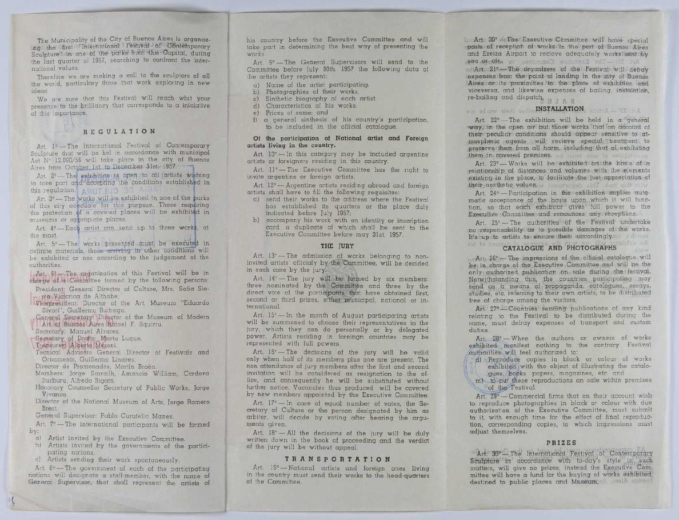The Municipality of the City of Buenos Aires is organaz-<br>ing the Jirst l'International Pestival of Contemporary Sculpture" in one of the parks from this Capital, during the last quarter of 1957, searching to confront the international values.

Therefore we are making a call to the sculptors of all the world, particulary those that work exploring in new ideas.

We are sure that this Festival will reach whit your presence to the brilliancy that corresponds to a iniciative of this importance.

## REGULATION

Art. I9——The International Festival of Contemporary Sculpiure that will be hel in accordance with municipal Act N° 12.090/56 will take place in the city of Buenos Aires from October 1st to December 3lst. 1957.

to take part and accepting the conditions established in this regulation.

Art.  $3^{\circ}$ —The works will be exhibited in one of the parks of this city oriential for this purpose. Those requiring the protection of a covered places will be exhibited in museums or appropiate places.<br>
Art. 49—Each artist can send up to three works, at the most.

Art. 5°-The works presented must be executed in definite materials, those arriving in other conditions will be exhibited or nos according to the judgement of the authorities.

Art. 68-The organization of this Festival will be in charge of a Committee formed by the following persons:

- President: General Director of Culture, Mrs. Sofia Sierra Victorica de Althabe.
- Vicepresident: Director of the Art. Museum "Eduardo Sivori", Guillermo Buitrago.

,General Secretary: Director of the Museum of Modern Art of Buenes Aires Rafael F. Squirru.

Secretary: Manuel Alvarez.

Secretary of Drafts: Marta Luque.

Tecnical Advisérs General Director of Festivals and Ornaments Guillermo Lingres

Director de Promenades, Martín Broën.

- Members: Iorge Sarrailh, Amancio William, Cordova lturburu, Alfredo Bigatti,
- Honorary Counsellor Secretary of Public Works, Iorge Vivanco.

Director of the National Museum of Arts, Jorge Romero Rest

General Supervisor: Pablo Curatella Manes.

Art.  $7^\circ$ -The international participants will be formed by:

a) Artist invited by the Executive Committee,

h) Artists invited by the governments of the participating nations.

c) Artists sending their work spontaneously.

Art.  $8^\circ$  - The government of each of the participating nations will designate a staff-member, with the name of General Supervisor, that shall represent the artists of his country before the Executive Committee and will take part in determining the best way of presenting the works.

Art. 9°-The General Supervisors will send to the Committee before Iuly 30th. 1957 the following data of the artists they represent:

- a) Name of the artist participating.
- b) Photographies of their works.
- c) Sinthetic biography of each artist.
- d) Characteristics of his works.
- e) Prices of same; and
- f) a general sinthesis of his country's participation, to be included in the official catalogue.

### Of the participation oi National artist and Foreign artista living in the country

Art. 10<sup>°</sup>-In this category may be included argentine artists or foreigners residing in this country.

Art. 11<sup>e</sup>-The Executive Committee has the right to invite argentine or foreign artists.

Art. 12° - Argentine artists residing abroad and foreign artists shall have to fill the following requisites:

- a) send their works to the address where the Festival has established its quarters or the place duly indicated before July 1957;<br>b) accompany his work with an identity or inscription
- card a duplicate of which shall be sent to the Executive Committee before may 31st. 1957.

### THE IÜRY

Art. 13<sup>\*</sup>-The admission of works belonging to noninvited artists officialy by the Committee, will be decided in each case by the jury.

Art. 14°-The jury will be formed by six members: three nominated by the Committee and three by the direct vote of the participants that have obtained first, second or third prizes, either municipal, national or international.

Art. 15<sup>e</sup> - In the month of August participating artists will be summoned to choose their representatives in the jury, which they can do personally or by delegated power. Artists residing in foreingn countries may be represented with full powers.

Art. 16°-The decisions of the jury will be valid only when half of its members plus one are present. The non attendance of iury members after the first and second invitation will be considered as resignation to the office, and consequently he will be substituted without further notice. Vacancies thus produced will be covered by new members appointed by the Executive Committee.

Art. 17°-In case of equal number of votes, the Secretary of Culture or the person designated by him as arbiter, will decide by voting after hearing the arguments given.

Art.  $18^\circ -$  All the decisions of the jury will be duly written down in the book of proceeding and the verdict of the jury will be without appeal.

#### TRANSPORTÁT!ON

Art. 19°-National artists and foreign ones living in the country must send their works to the head-quarters of the Committee.

LL Art: 20° - The Executive Committee will have special ndsts of reception of worke in the part: of Buenost Aires and Ezeiza Airport to recieve adequately workslight for id 399-The Executive Committee, to alignize pea.  $a$ rl  $a$ rt $a$   $21$ f $\rightarrow$  The dragmizers of the Festivat will deftaty expenses from the point of landing in the city of Buenos

'Aires or its proximities its the place of exhibition land viceversa, and likewise expenses of bailing, instalatioh, re-bailing and dispatch, 1 I R a

su 'alexa ha'. 'm-«ÏNSTÁLLFÏIQN; . t

Art. 22°-The exhibition will be held in a "general" way in the open air but those works that on account of their peculiar conditions should appear sensitive to atmospheric agents will recieve special treatment, to them in covered premises. ,- i rain also be satilled them

 $A_{r1}$ ,  $23^{\circ}$  ... Works will be exhibited on the basis of a relationship of distances and volumes with the Elements existing in the place, to ideditate the just appreciation of existing in the place, to declided the post-operation of their case the conduction of the exhibition implies cuto-<br> $\frac{\text{Art}}{\text{Art}}$  and  $\frac{2\psi - \text{Partic}}{\text{matile}}$  corresponding to the exhibition implies cuto-<br>matic acceptance of

Art. 24°-Participation in the exhibition implies automatic acceptance of the basis upon which it will function, so that each exhibitor gives' full power to the Executive Committee and renounces any receptions.

Art. 25°-The authorities of the Festival undertake no responsability as to possible damages of the works. lt's up to artists to ensure them -uccordingly. ' " ile one of the surface of " CATALOGUE AND PHOTOGRAPHS

Art; 26° - The impressions of the official catalogue will be in charge of the Executive Committee and will be the only quthorized publication on sale during the festival. Notwithstanding this, the countries participating may send as a means of propaganda, catalogues, essays, studies, etc. referring to their own artists, to be distributed free of charge among the visitors.

Arl 27°-Countries sending publications of any kind relating to the Festival to be distributed during the same, must defray expenses of transport and custom duties.

Art. 28° - When the authors or owners of works exhibited manifest nothing to the contrary Festival authorities will feel authorized to:

**(a)** Reproduce copies in black or column of works  $\overline{u}$ , explicitly controlled with the object of illustrating the ordinary of the magnitude of the magnitude of  $\overline{u}$  of the  $\overline{f}$  restriction on all ordinary in

to reproduce photographies in black or colour with due authorization of the Executive Committee, must submit to it, with enough time for the effect of final reproduction, corresponding copies, to which impressions must adjust themselves.

## PRIZES

Art, 30<sup>8</sup>-The International Festival of Contemporary Sculpture in accordance with to-day's style in such matters, will give no prizes; instead the Executive Committee will have a fund for the buying of Works exhibited,' destined to public places and Museum. We will nonset